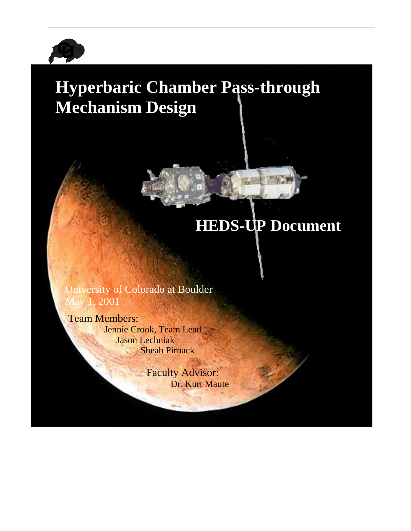

# **Hyperbaric Chamber Pass-through Mechanism Design**



# **HEDS-UP Document**

University of Colorado at Boulder May 1, 2001

Team Members: Jennie Crook, Team Lead Jason Lechniak Sheah Pirnack

> Faculty Advisor: Dr. Kurt Maute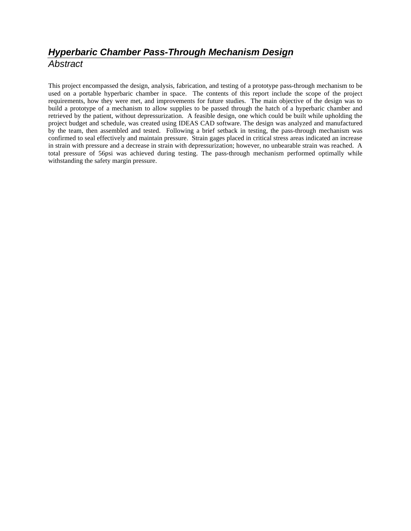# **Hyperbaric Chamber Pass-Through Mechanism Design Abstract**

This project encompassed the design, analysis, fabrication, and testing of a prototype pass-through mechanism to be used on a portable hyperbaric chamber in space. The contents of this report include the scope of the project requirements, how they were met, and improvements for future studies. The main objective of the design was to build a prototype of a mechanism to allow supplies to be passed through the hatch of a hyperbaric chamber and retrieved by the patient, without depressurization. A feasible design, one which could be built while upholding the project budget and schedule, was created using IDEAS CAD software. The design was analyzed and manufactured by the team, then assembled and tested. Following a brief setback in testing, the pass-through mechanism was confirmed to seal effectively and maintain pressure. Strain gages placed in critical stress areas indicated an increase in strain with pressure and a decrease in strain with depressurization; however, no unbearable strain was reached. A total pressure of 56psi was achieved during testing. The pass-through mechanism performed optimally while withstanding the safety margin pressure.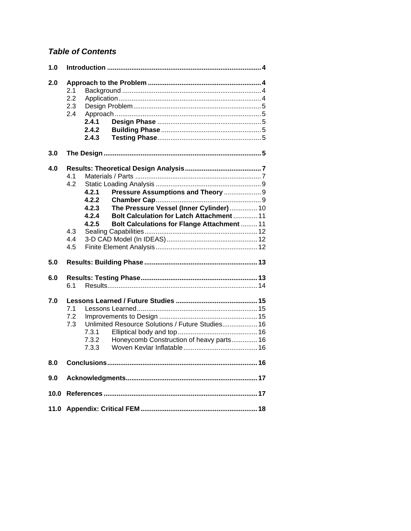## **Table of Contents**

| 1.0  |                                 |                                           |                                                                                                                                                                            |    |
|------|---------------------------------|-------------------------------------------|----------------------------------------------------------------------------------------------------------------------------------------------------------------------------|----|
| 2.0  | 2.1<br>2.2<br>2.3<br>2.4        | 2.4.1<br>2.4.2<br>2.4.3                   |                                                                                                                                                                            |    |
| 3.0  |                                 |                                           |                                                                                                                                                                            |    |
| 4.0  | 4.1<br>4.2<br>4.3<br>4.4<br>4.5 | 4.2.1<br>4.2.2<br>4.2.3<br>4.2.4<br>4.2.5 | Pressure Assumptions and Theory  9<br>The Pressure Vessel (Inner Cylinder)  10<br>Bolt Calculation for Latch Attachment  11<br>Bolt Calculations for Flange Attachment  11 |    |
| 5.0  |                                 |                                           |                                                                                                                                                                            |    |
| 6.0  | 6.1                             |                                           |                                                                                                                                                                            |    |
| 7.0  | 7.1<br>7.2<br>7.3               | 7.3.1<br>7.3.2<br>7.3.3                   | Unlimited Resource Solutions / Future Studies 16<br>Honeycomb Construction of heavy parts 16                                                                               |    |
| 8.0  |                                 | <b>Conclusions</b>                        |                                                                                                                                                                            | 16 |
| 9.0  |                                 |                                           |                                                                                                                                                                            |    |
| 10.0 |                                 |                                           |                                                                                                                                                                            |    |
|      |                                 |                                           |                                                                                                                                                                            |    |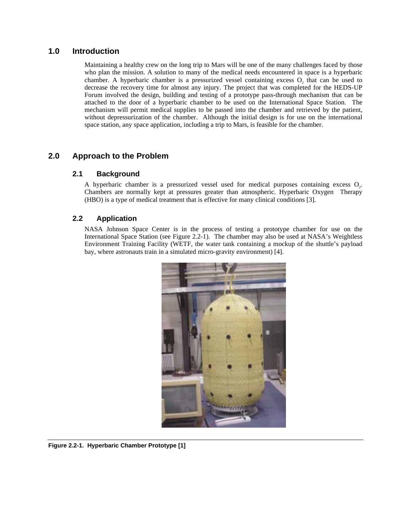## **1.0 Introduction**

Maintaining a healthy crew on the long trip to Mars will be one of the many challenges faced by those who plan the mission. A solution to many of the medical needs encountered in space is a hyperbaric chamber. A hyperbaric chamber is a pressurized vessel containing excess O, that can be used to decrease the recovery time for almost any injury. The project that was completed for the HEDS-UP Forum involved the design, building and testing of a prototype pass-through mechanism that can be attached to the door of a hyperbaric chamber to be used on the International Space Station. The mechanism will permit medical supplies to be passed into the chamber and retrieved by the patient, without depressurization of the chamber. Although the initial design is for use on the international space station, any space application, including a trip to Mars, is feasible for the chamber.

## **2.0 Approach to the Problem**

#### **2.1 Background**

A hyperbaric chamber is a pressurized vessel used for medical purposes containing excess O,. Chambers are normally kept at pressures greater than atmospheric. Hyperbaric Oxygen Therapy (HBO) is a type of medical treatment that is effective for many clinical conditions [3].

## **2.2 Application**

NASA Johnson Space Center is in the process of testing a prototype chamber for use on the International Space Station (see Figure 2.2-1). The chamber may also be used at NASA's Weightless Environment Training Facility (WETF, the water tank containing a mockup of the shuttle's payload bay, where astronauts train in a simulated micro-gravity environment) [4].



**Figure 2.2-1. Hyperbaric Chamber Prototype [1]**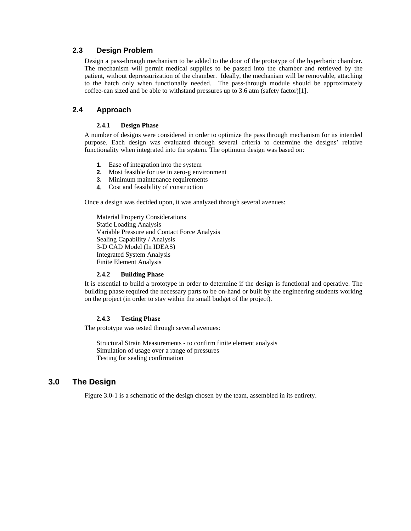#### **2.3 Design Problem**

Design a pass-through mechanism to be added to the door of the prototype of the hyperbaric chamber. The mechanism will permit medical supplies to be passed into the chamber and retrieved by the patient, without depressurization of the chamber. Ideally, the mechanism will be removable, attaching to the hatch only when functionally needed. The pass-through module should be approximately coffee-can sized and be able to withstand pressures up to 3.6 atm (safety factor)[1].

## **2.4 Approach**

#### **2.4.1 Design Phase**

A number of designs were considered in order to optimize the pass through mechanism for its intended purpose. Each design was evaluated through several criteria to determine the designs' relative functionality when integrated into the system. The optimum design was based on:

- **1.** Ease of integration into the system
- **2.** Most feasible for use in zero-g environment
- **3.** Minimum maintenance requirements
- **4.** Cost and feasibility of construction

Once a design was decided upon, it was analyzed through several avenues:

Material Property Considerations Static Loading Analysis Variable Pressure and Contact Force Analysis Sealing Capability / Analysis 3-D CAD Model (In IDEAS) Integrated System Analysis Finite Element Analysis

#### **2.4.2 Building Phase**

It is essential to build a prototype in order to determine if the design is functional and operative. The building phase required the necessary parts to be on-hand or built by the engineering students working on the project (in order to stay within the small budget of the project).

#### **2.4.3 Testing Phase**

The prototype was tested through several avenues:

Structural Strain Measurements - to confirm finite element analysis Simulation of usage over a range of pressures Testing for sealing confirmation

## **3.0 The Design**

Figure 3.0-1 is a schematic of the design chosen by the team, assembled in its entirety.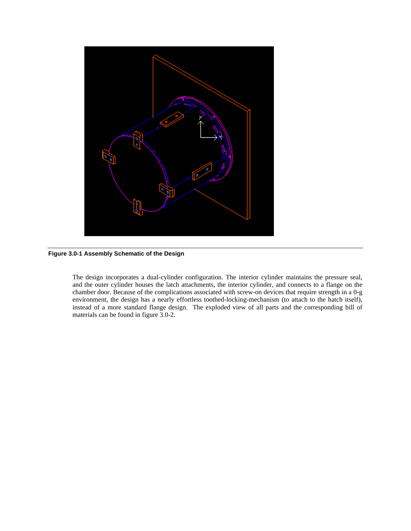

**Figure 3.0-1 Assembly Schematic of the Design** 

The design incorporates a dual-cylinder configuration. The interior cylinder maintains the pressure seal, and the outer cylinder houses the latch attachments, the interior cylinder, and connects to a flange on the chamber door. Because of the complications associated with screw-on devices that require strength in a 0-g environment, the design has a nearly effortless toothed-locking-mechanism (to attach to the hatch itself), instead of a more standard flange design. The exploded view of all parts and the corresponding bill of materials can be found in figure 3.0-2.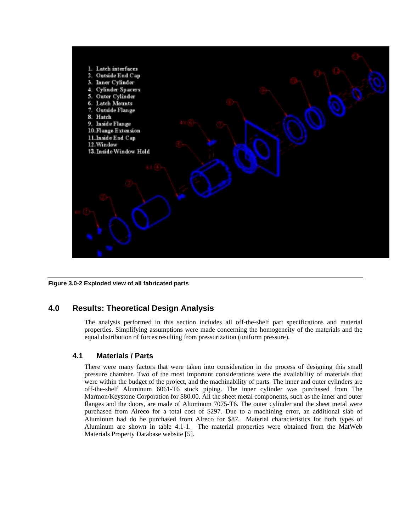

**Figure 3.0-2 Exploded view of all fabricated parts** 

## **4.0 Results: Theoretical Design Analysis**

The analysis performed in this section includes all off-the-shelf part specifications and material properties. Simplifying assumptions were made concerning the homogeneity of the materials and the equal distribution of forces resulting from pressurization (uniform pressure).

#### **4.1 Materials / Parts**

There were many factors that were taken into consideration in the process of designing this small pressure chamber. Two of the most important considerations were the availability of materials that were within the budget of the project, and the machinability of parts. The inner and outer cylinders are off-the-shelf Aluminum 6061-T6 stock piping. The inner cylinder was purchased from The Marmon/Keystone Corporation for \$80.00. All the sheet metal components, such as the inner and outer flanges and the doors, are made of Aluminum 7075-T6. The outer cylinder and the sheet metal were purchased from Alreco for a total cost of \$297. Due to a machining error, an additional slab of Aluminum had do be purchased from Alreco for \$87. Material characteristics for both types of Aluminum are shown in table 4.1-1. The material properties were obtained from the MatWeb Materials Property Database website [5].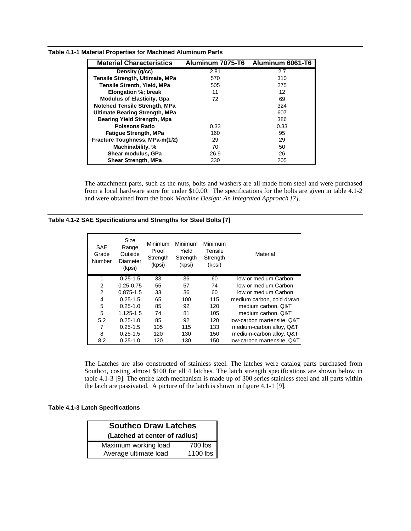| <b>Material Characteristics</b>        | Aluminum 7075-T6 | Aluminum 6061-T6 |
|----------------------------------------|------------------|------------------|
| Density (q/cc)                         | 2.81             | 2.7              |
| <b>Tensile Strength, Ultimate, MPa</b> | 570              | 310              |
| <b>Tensile Strenth, Yield, MPa</b>     | 505              | 275              |
| Elongation %; break                    | 11               | 12               |
| <b>Modulus of Elasticity, Gpa</b>      | 72               | 69               |
| <b>Notched Tensile Strength, MPa</b>   |                  | 324              |
| <b>Ultimate Bearing Strength, MPa</b>  |                  | 607              |
| <b>Bearing Yield Strength, Mpa</b>     |                  | 386              |
| <b>Poissons Ratio</b>                  | 0.33             | 0.33             |
| <b>Fatigue Strength, MPa</b>           | 160              | 95               |
| Fracture Toughness, MPa-m(1/2)         | 29               | 29               |
| Machinability, %                       | 70               | 50               |
| Shear modulus, GPa                     | 26.9             | 26               |
| <b>Shear Strength, MPa</b>             | 330              | 205              |

**Table 4.1-1 Material Properties for Machined Aluminum Parts** 

The attachment parts, such as the nuts, bolts and washers are all made from steel and were purchased from a local hardware store for under \$10.00. The specifications for the bolts are given in table 4.1-2 and were obtained from the book *Machine Design: An Integrated Approach [7]*.

|  | Table 4.1-2 SAE Specifications and Strengths for Steel Bolts [7] |  |  |
|--|------------------------------------------------------------------|--|--|
|--|------------------------------------------------------------------|--|--|

| <b>SAE</b><br>Grade<br>Number | Size<br>Range<br>Outside<br>Diameter<br>(kpsi) | Minimum<br>Proof<br>Strength<br>(kpsi) | Minimum<br>Yield<br>Strength<br>(kpsi) | Minimum<br>Tensile<br>Strength<br>(kpsi) | Material                   |
|-------------------------------|------------------------------------------------|----------------------------------------|----------------------------------------|------------------------------------------|----------------------------|
| 1                             | $0.25 - 1.5$                                   | 33                                     | 36                                     | 60                                       | low or medium Carbon       |
| $\overline{2}$                | $0.25 - 0.75$                                  | 55                                     | 57                                     | 74                                       | low or medium Carbon       |
| $\overline{2}$                | $0.875 - 1.5$                                  | 33                                     | 36                                     | 60                                       | low or medium Carbon       |
| 4                             | $0.25 - 1.5$                                   | 65                                     | 100                                    | 115                                      | medium carbon, cold drawn  |
| 5                             | $0.25 - 1.0$                                   | 85                                     | 92                                     | 120                                      | medium carbon, Q&T         |
| 5                             | 1.125-1.5                                      | 74                                     | 81                                     | 105                                      | medium carbon, Q&T         |
| 5.2                           | $0.25 - 1.0$                                   | 85                                     | 92                                     | 120                                      | low-carbon martensite, Q&T |
| 7                             | $0.25 - 1.5$                                   | 105                                    | 115                                    | 133                                      | medium-carbon alloy, Q&T   |
| 8                             | $0.25 - 1.5$                                   | 120                                    | 130                                    | 150                                      | medium-carbon alloy, Q&T   |
| 8.2                           | $0.25 - 1.0$                                   | 120                                    | 130                                    | 150                                      | low-carbon martensite, Q&T |

The Latches are also constructed of stainless steel. The latches were catalog parts purchased from Southco, costing almost \$100 for all 4 latches. The latch strength specifications are shown below in table 4.1-3 [9]. The entire latch mechanism is made up of 300 series stainless steel and all parts within the latch are passivated. A picture of the latch is shown in figure 4.1-1 [9].

#### **Table 4.1-3 Latch Specifications**

| <b>Southco Draw Latches</b>   |          |  |  |
|-------------------------------|----------|--|--|
| (Latched at center of radius) |          |  |  |
| Maximum working load          | 700 lbs  |  |  |
| Average ultimate load         | 1100 lbs |  |  |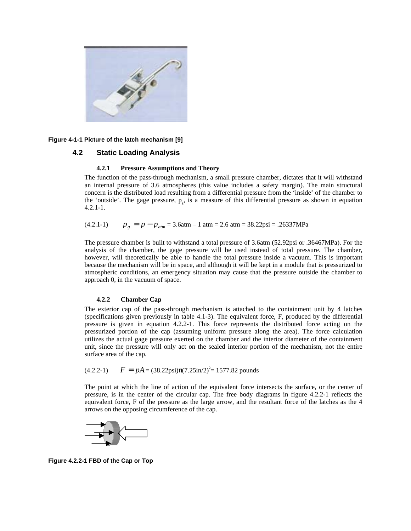

**Figure 4-1-1 Picture of the latch mechanism [9]** 

#### **4.2 Static Loading Analysis**

#### **4.2.1 Pressure Assumptions and Theory**

The function of the pass-through mechanism, a small pressure chamber, dictates that it will withstand an internal pressure of 3.6 atmospheres (this value includes a safety margin). The main structural concern is the distributed load resulting from a differential pressure from the 'inside' of the chamber to the 'outside'. The gage pressure,  $p_{\rm s}$ , is a measure of this differential pressure as shown in equation 4.2.1-1.

 $p_g = p - p_{atm} = 3.6$ atm – 1 atm = 2.6 atm = 38.22psi = .26337MPa

The pressure chamber is built to withstand a total pressure of 3.6atm (52.92psi or .36467MPa). For the analysis of the chamber, the gage pressure will be used instead of total pressure. The chamber, however, will theoretically be able to handle the total pressure inside a vacuum. This is important because the mechanism will be in space, and although it will be kept in a module that is pressurized to atmospheric conditions, an emergency situation may cause that the pressure outside the chamber to approach 0, in the vacuum of space.

#### **4.2.2 Chamber Cap**

The exterior cap of the pass-through mechanism is attached to the containment unit by 4 latches (specifications given previously in table 4.1-3). The equivalent force, F, produced by the differential pressure is given in equation 4.2.2-1. This force represents the distributed force acting on the pressurized portion of the cap (assuming uniform pressure along the area). The force calculation utilizes the actual gage pressure exerted on the chamber and the interior diameter of the containment unit, since the pressure will only act on the sealed interior portion of the mechanism, not the entire surface area of the cap.

$$
(4.2.2-1) \qquad F = pA = (38.22 \text{psi}(7.25 \text{in}/2)^2 = 1577.82 \text{ pounds}
$$

The point at which the line of action of the equivalent force intersects the surface, or the center of pressure, is in the center of the circular cap. The free body diagrams in figure 4.2.2-1 reflects the equivalent force, F of the pressure as the large arrow, and the resultant force of the latches as the 4 arrows on the opposing circumference of the cap.



**Figure 4.2.2-1 FBD of the Cap or Top**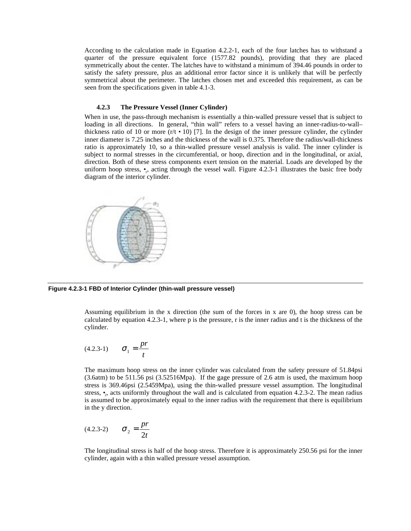According to the calculation made in Equation 4.2.2-1, each of the four latches has to withstand a quarter of the pressure equivalent force (1577.82 pounds), providing that they are placed symmetrically about the center. The latches have to withstand a minimum of 394.46 pounds in order to satisfy the safety pressure, plus an additional error factor since it is unlikely that will be perfectly symmetrical about the perimeter. The latches chosen met and exceeded this requirement, as can be seen from the specifications given in table 4.1-3.

#### **4.2.3 The Pressure Vessel (Inner Cylinder)**

When in use, the pass-through mechanism is essentially a thin-walled pressure vessel that is subject to loading in all directions. In general, "thin wall" refers to a vessel having an inner-radius-to-wall– thickness ratio of 10 or more  $(r/t \cdot 10)$  [7]. In the design of the inner pressure cylinder, the cylinder inner diameter is 7.25 inches and the thickness of the wall is 0.375. Therefore the radius/wall-thickness ratio is approximately 10, so a thin-walled pressure vessel analysis is valid. The inner cylinder is subject to normal stresses in the circumferential, or hoop, direction and in the longitudinal, or axial, direction. Both of these stress components exert tension on the material. Loads are developed by the uniform hoop stress,  $\bullet$ , acting through the vessel wall. Figure 4.2.3-1 illustrates the basic free body diagram of the interior cylinder.



**Figure 4.2.3-1 FBD of Interior Cylinder (thin-wall pressure vessel)** 

Assuming equilibrium in the x direction (the sum of the forces in x are 0), the hoop stress can be calculated by equation 4.2.3-1, where p is the pressure, r is the inner radius and t is the thickness of the cylinder.

(4.2.3-1) 
$$
\sigma_1 = \frac{pr}{t}
$$

The maximum hoop stress on the inner cylinder was calculated from the safety pressure of 51.84psi (3.6atm) to be 511.56 psi (3.52516Mpa). If the gage pressure of 2.6 atm is used, the maximum hoop stress is 369.46psi (2.5459Mpa), using the thin-walled pressure vessel assumption. The longitudinal stress,  $\bullet$ , acts uniformly throughout the wall and is calculated from equation 4.2.3-2. The mean radius is assumed to be approximately equal to the inner radius with the requirement that there is equilibrium in the y direction.

(4.2.3-2) 
$$
\sigma_2 = \frac{pr}{2t}
$$

The longitudinal stress is half of the hoop stress. Therefore it is approximately 250.56 psi for the inner cylinder, again with a thin walled pressure vessel assumption.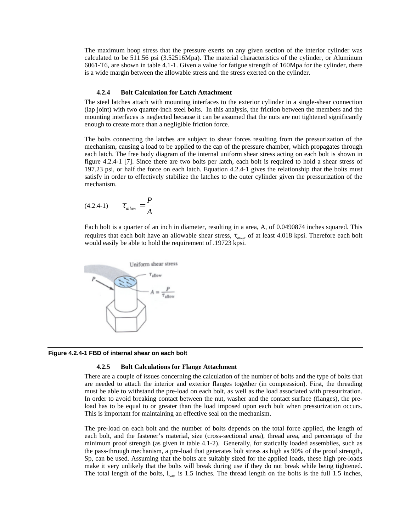The maximum hoop stress that the pressure exerts on any given section of the interior cylinder was calculated to be 511.56 psi (3.52516Mpa). The material characteristics of the cylinder, or Aluminum 6061-T6, are shown in table 4.1-1. Given a value for fatigue strength of 160Mpa for the cylinder, there is a wide margin between the allowable stress and the stress exerted on the cylinder.

#### **4.2.4 Bolt Calculation for Latch Attachment**

The steel latches attach with mounting interfaces to the exterior cylinder in a single-shear connection (lap joint) with two quarter-inch steel bolts. In this analysis, the friction between the members and the mounting interfaces is neglected because it can be assumed that the nuts are not tightened significantly enough to create more than a negligible friction force.

The bolts connecting the latches are subject to shear forces resulting from the pressurization of the mechanism, causing a load to be applied to the cap of the pressure chamber, which propagates through each latch. The free body diagram of the internal uniform shear stress acting on each bolt is shown in figure 4.2.4-1 [7]. Since there are two bolts per latch, each bolt is required to hold a shear stress of 197.23 psi, or half the force on each latch. Equation 4.2.4-1 gives the relationship that the bolts must satisfy in order to effectively stabilize the latches to the outer cylinder given the pressurization of the mechanism.

$$
(4.2.4-1) \qquad \tau_{\text{allow}} = \frac{P}{A}
$$

Each bolt is a quarter of an inch in diameter, resulting in a area, A, of 0.0490874 inches squared. This requires that each bolt have an allowable shear stress,  $\tau_{\text{allow}}$ , of at least 4.018 kpsi. Therefore each bolt would easily be able to hold the requirement of .19723 kpsi.



**Figure 4.2.4-1 FBD of internal shear on each bolt** 

#### **4.2.5 Bolt Calculations for Flange Attachment**

There are a couple of issues concerning the calculation of the number of bolts and the type of bolts that are needed to attach the interior and exterior flanges together (in compression). First, the threading must be able to withstand the pre-load on each bolt, as well as the load associated with pressurization. In order to avoid breaking contact between the nut, washer and the contact surface (flanges), the preload has to be equal to or greater than the load imposed upon each bolt when pressurization occurs. This is important for maintaining an effective seal on the mechanism.

The pre-load on each bolt and the number of bolts depends on the total force applied, the length of each bolt, and the fastener's material, size (cross-sectional area), thread area, and percentage of the minimum proof strength (as given in table 4.1-2). Generally, for statically loaded assemblies, such as the pass-through mechanism, a pre-load that generates bolt stress as high as 90% of the proof strength, Sp, can be used. Assuming that the bolts are suitably sized for the applied loads, these high pre-loads make it very unlikely that the bolts will break during use if they do not break while being tightened. The total length of the bolts,  $l_{\text{bolt}}$ , is 1.5 inches. The thread length on the bolts is the full 1.5 inches,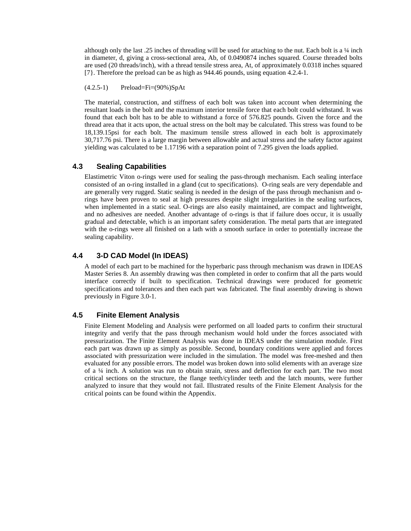although only the last .25 inches of threading will be used for attaching to the nut. Each bolt is a ¼ inch in diameter, d, giving a cross-sectional area, Ab, of 0.0490874 inches squared. Course threaded bolts are used (20 threads/inch), with a thread tensile stress area, At, of approximately 0.0318 inches squared [7}. Therefore the preload can be as high as 944.46 pounds, using equation 4.2.4-1.

(4.2.5-1) Preload=Fi=(90%)SpAt

The material, construction, and stiffness of each bolt was taken into account when determining the resultant loads in the bolt and the maximum interior tensile force that each bolt could withstand. It was found that each bolt has to be able to withstand a force of 576.825 pounds. Given the force and the thread area that it acts upon, the actual stress on the bolt may be calculated. This stress was found to be 18,139.15psi for each bolt. The maximum tensile stress allowed in each bolt is approximately 30,717.76 psi. There is a large margin between allowable and actual stress and the safety factor against yielding was calculated to be 1.17196 with a separation point of 7.295 given the loads applied.

#### **4.3 Sealing Capabilities**

Elastimetric Viton o-rings were used for sealing the pass-through mechanism. Each sealing interface consisted of an o-ring installed in a gland (cut to specifications). O-ring seals are very dependable and are generally very rugged. Static sealing is needed in the design of the pass through mechanism and orings have been proven to seal at high pressures despite slight irregularities in the sealing surfaces, when implemented in a static seal. O-rings are also easily maintained, are compact and lightweight, and no adhesives are needed. Another advantage of o-rings is that if failure does occur, it is usually gradual and detectable, which is an important safety consideration. The metal parts that are integrated with the o-rings were all finished on a lath with a smooth surface in order to potentially increase the sealing capability.

## **4.4 3-D CAD Model (In IDEAS)**

A model of each part to be machined for the hyperbaric pass through mechanism was drawn in IDEAS Master Series 8. An assembly drawing was then completed in order to confirm that all the parts would interface correctly if built to specification. Technical drawings were produced for geometric specifications and tolerances and then each part was fabricated. The final assembly drawing is shown previously in Figure 3.0-1.

#### **4.5 Finite Element Analysis**

Finite Element Modeling and Analysis were performed on all loaded parts to confirm their structural integrity and verify that the pass through mechanism would hold under the forces associated with pressurization. The Finite Element Analysis was done in IDEAS under the simulation module. First each part was drawn up as simply as possible. Second, boundary conditions were applied and forces associated with pressurization were included in the simulation. The model was free-meshed and then evaluated for any possible errors. The model was broken down into solid elements with an average size of a ¼ inch. A solution was run to obtain strain, stress and deflection for each part. The two most critical sections on the structure, the flange teeth/cylinder teeth and the latch mounts, were further analyzed to insure that they would not fail. Illustrated results of the Finite Element Analysis for the critical points can be found within the Appendix.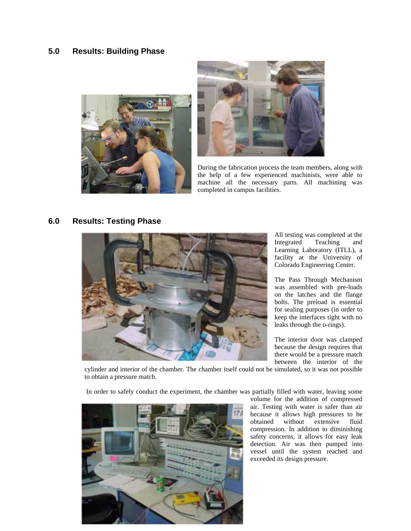## **5.0 Results: Building Phase**





During the fabrication process the team members, along with the help of a few experienced machinists, were able to machine all the necessary parts. All machining was completed in campus facilities.

## **6.0 Results: Testing Phase**



All testing was completed at the Integrated Teaching and Learning Laboratory (ITLL), a facility at the University of Colorado Engineering Center.

The Pass Through Mechanism was assembled with pre-loads on the latches and the flange bolts. The preload is essential for sealing purposes (in order to keep the interfaces tight with no leaks through the o-rings).

The interior door was clamped because the design requires that there would be a pressure match between the interior of the

cylinder and interior of the chamber. The chamber itself could not be simulated, so it was not possible to obtain a pressure match.

In order to safely conduct the experiment, the chamber was partially filled with water, leaving some



volume for the addition of compressed air. Testing with water is safer than air because it allows high pressures to be obtained without extensive fluid without extensive fluid compression. In addition to diminishing safety concerns, it allows for easy leak detection. Air was then pumped into vessel until the system reached and exceeded its design pressure.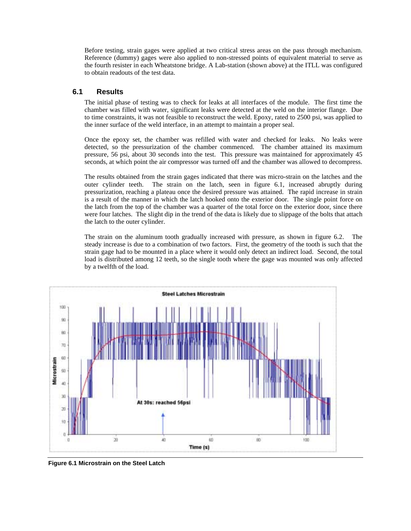Before testing, strain gages were applied at two critical stress areas on the pass through mechanism. Reference (dummy) gages were also applied to non-stressed points of equivalent material to serve as the fourth resister in each Wheatstone bridge. A Lab-station (shown above) at the ITLL was configured to obtain readouts of the test data.

#### **6.1 Results**

The initial phase of testing was to check for leaks at all interfaces of the module. The first time the chamber was filled with water, significant leaks were detected at the weld on the interior flange. Due to time constraints, it was not feasible to reconstruct the weld. Epoxy, rated to 2500 psi, was applied to the inner surface of the weld interface, in an attempt to maintain a proper seal.

Once the epoxy set, the chamber was refilled with water and checked for leaks. No leaks were detected, so the pressurization of the chamber commenced. The chamber attained its maximum pressure, 56 psi, about 30 seconds into the test. This pressure was maintained for approximately 45 seconds, at which point the air compressor was turned off and the chamber was allowed to decompress.

The results obtained from the strain gages indicated that there was micro-strain on the latches and the outer cylinder teeth. The strain on the latch, seen in figure 6.1, increased abruptly during pressurization, reaching a plateau once the desired pressure was attained. The rapid increase in strain is a result of the manner in which the latch hooked onto the exterior door. The single point force on the latch from the top of the chamber was a quarter of the total force on the exterior door, since there were four latches. The slight dip in the trend of the data is likely due to slippage of the bolts that attach the latch to the outer cylinder.

The strain on the aluminum tooth gradually increased with pressure, as shown in figure 6.2. The steady increase is due to a combination of two factors. First, the geometry of the tooth is such that the strain gage had to be mounted in a place where it would only detect an indirect load. Second, the total load is distributed among 12 teeth, so the single tooth where the gage was mounted was only affected by a twelfth of the load.



**Figure 6.1 Microstrain on the Steel Latch**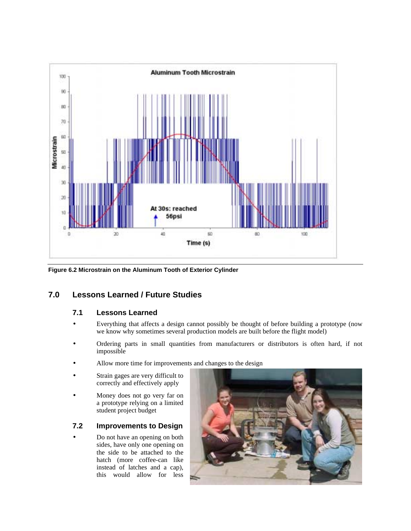

**Figure 6.2 Microstrain on the Aluminum Tooth of Exterior Cylinder** 

## **7.0 Lessons Learned / Future Studies**

## **7.1 Lessons Learned**

- Everything that affects a design cannot possibly be thought of before building a prototype (now we know why sometimes several production models are built before the flight model)
- Ordering parts in small quantities from manufacturers or distributors is often hard, if not impossible
- Allow more time for improvements and changes to the design
- Strain gages are very difficult to correctly and effectively apply
- Money does not go very far on a prototype relying on a limited student project budget

## **7.2 Improvements to Design**

• Do not have an opening on both sides, have only one opening on the side to be attached to the hatch (more coffee-can like instead of latches and a cap), this would allow for less

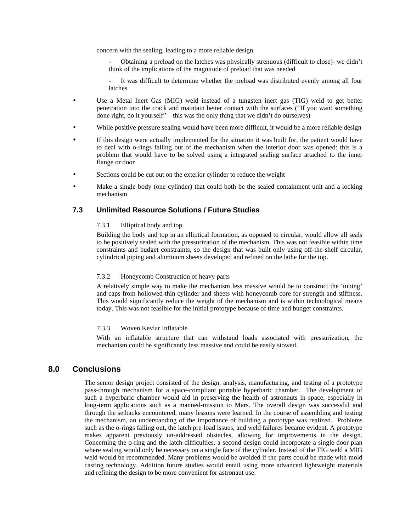concern with the sealing, leading to a more reliable design

- Obtaining a preload on the latches was physically strenuous (difficult to close)- we didn't think of the implications of the magnitude of preload that was needed
- It was difficult to determine whether the preload was distributed evenly among all four latches
- Use a Metal Inert Gas (MIG) weld instead of a tungsten inert gas (TIG) weld to get better penetration into the crack and maintain better contact with the surfaces ("If you want something done right, do it yourself" – this was the only thing that we didn't do ourselves)
- While positive pressure sealing would have been more difficult, it would be a more reliable design
- If this design were actually implemented for the situation it was built for, the patient would have to deal with o-rings falling out of the mechanism when the interior door was opened: this is a problem that would have to be solved using a integrated sealing surface attached to the inner flange or door
- Sections could be cut out on the exterior cylinder to reduce the weight
- Make a single body (one cylinder) that could both be the sealed containment unit and a locking mechanism

## **7.3 Unlimited Resource Solutions / Future Studies**

#### 7.3.1 Elliptical body and top

Building the body and top in an elliptical formation, as opposed to circular, would allow all seals to be positively sealed with the pressurization of the mechanism. This was not feasible within time constraints and budget constraints, so the design that was built only using off-the-shelf circular, cylindrical piping and aluminum sheets developed and refined on the lathe for the top.

#### 7.3.2 Honeycomb Construction of heavy parts

A relatively simple way to make the mechanism less massive would be to construct the 'tubing' and caps from hollowed-thin cylinder and sheets with honeycomb core for strength and stiffness. This would significantly reduce the weight of the mechanism and is within technological means today. This was not feasible for the initial prototype because of time and budget constraints.

#### 7.3.3 Woven Kevlar Inflatable

With an inflatable structure that can withstand loads associated with pressurization, the mechanism could be significantly less massive and could be easily stowed.

## **8.0 Conclusions**

The senior design project consisted of the design, analysis, manufacturing, and testing of a prototype pass-through mechanism for a space-compliant portable hyperbaric chamber. The development of such a hyperbaric chamber would aid in preserving the health of astronauts in space, especially in long-term applications such as a manned-mission to Mars. The overall design was successful and through the setbacks encountered, many lessons were learned. In the course of assembling and testing the mechanism, an understanding of the importance of building a prototype was realized. Problems such as the o-rings falling out, the latch pre-load issues, and weld failures became evident. A prototype makes apparent previously un-addressed obstacles, allowing for improvements in the design. Concerning the o-ring and the latch difficulties, a second design could incorporate a single door plan where sealing would only be necessary on a single face of the cylinder. Instead of the TIG weld a MIG weld would be recommended. Many problems would be avoided if the parts could be made with mold casting technology. Addition future studies would entail using more advanced lightweight materials and refining the design to be more convenient for astronaut use.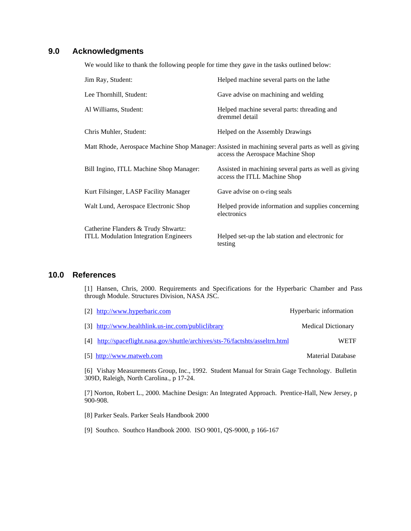## **9.0 Acknowledgments**

We would like to thank the following people for time they gave in the tasks outlined below:

| Jim Ray, Student:                                                                   | Helped machine several parts on the lathe                                                                                              |
|-------------------------------------------------------------------------------------|----------------------------------------------------------------------------------------------------------------------------------------|
| Lee Thornhill, Student:                                                             | Gave advise on machining and welding                                                                                                   |
| Al Williams, Student:                                                               | Helped machine several parts: threading and<br>dremmel detail                                                                          |
| Chris Muhler, Student:                                                              | Helped on the Assembly Drawings                                                                                                        |
|                                                                                     | Matt Rhode, Aerospace Machine Shop Manager: Assisted in machining several parts as well as giving<br>access the Aerospace Machine Shop |
| Bill Ingino, ITLL Machine Shop Manager:                                             | Assisted in machining several parts as well as giving<br>access the ITLL Machine Shop                                                  |
| Kurt Filsinger, LASP Facility Manager                                               | Gave advise on o-ring seals                                                                                                            |
| Walt Lund, Aerospace Electronic Shop                                                | Helped provide information and supplies concerning<br>electronics                                                                      |
| Catherine Flanders & Trudy Shwartz:<br><b>ITLL Modulation Integration Engineers</b> | Helped set-up the lab station and electronic for<br>testing                                                                            |

## **10.0 References**

[1] Hansen, Chris, 2000. Requirements and Specifications for the Hyperbaric Chamber and Pass through Module. Structures Division, NASA JSC.

| [2] http://www.hyperbaric.com                                                  | Hyperbaric information    |
|--------------------------------------------------------------------------------|---------------------------|
| [3] http://www.healthlink.us-inc.com/publiclibrary                             | <b>Medical Dictionary</b> |
| [4] http://spaceflight.nasa.gov/shuttle/archives/sts-76/factshts/asseltrn.html | <b>WETF</b>               |
| [5] http://www.matweb.com                                                      | Material Database         |

[6] Vishay Measurements Group, Inc., 1992. Student Manual for Strain Gage Technology. Bulletin 309D, Raleigh, North Carolina., p 17-24.

[7] Norton, Robert L., 2000. Machine Design: An Integrated Approach. Prentice-Hall, New Jersey, p 900-908.

[8] Parker Seals. Parker Seals Handbook 2000

[9] Southco. Southco Handbook 2000. ISO 9001, QS-9000, p 166-167